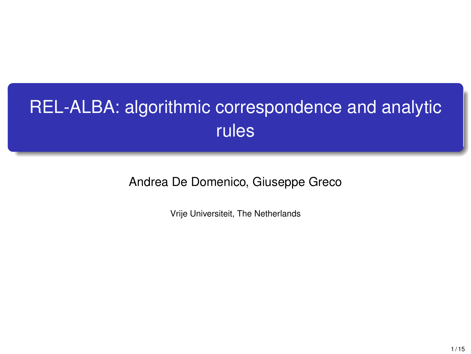## REL-ALBA: algorithmic correspondence and analytic rules

Andrea De Domenico, Giuseppe Greco

Vrije Universiteit, The Netherlands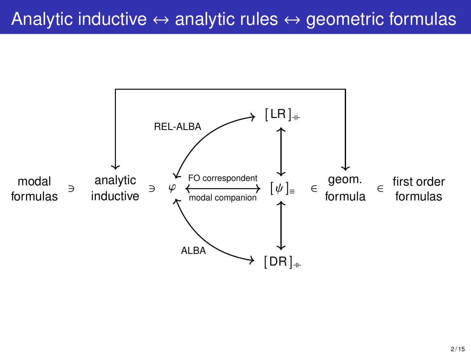## Analytic inductive  $\leftrightarrow$  analytic rules  $\leftrightarrow$  geometric formulas

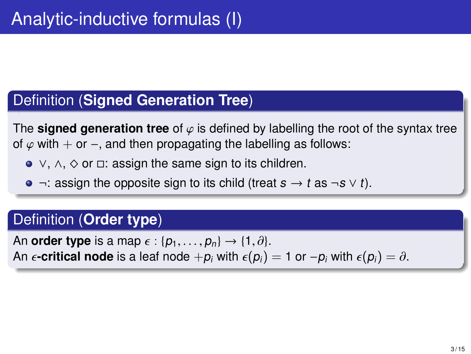#### Definition (**Signed Generation Tree**)

The **signed generation tree** of  $\varphi$  is defined by labelling the root of the syntax tree of  $\varphi$  with + or –, and then propagating the labelling as follows:

- ∨, ∧, ^ or □: assign the same sign to its children.
- $\bullet$  ¬: assign the opposite sign to its child (treat  $s \rightarrow t$  as ¬s  $\vee t$ ).

#### Definition (**Order type**)

An **order type** is a map  $\epsilon$  :  $\{p_1, \ldots, p_n\} \rightarrow \{1, \partial\}$ . An  $\epsilon$ **-critical node** is a leaf node  $+p_i$  with  $\epsilon(p_i) = 1$  or  $-p_i$  with  $\epsilon(p_i) = \partial$ .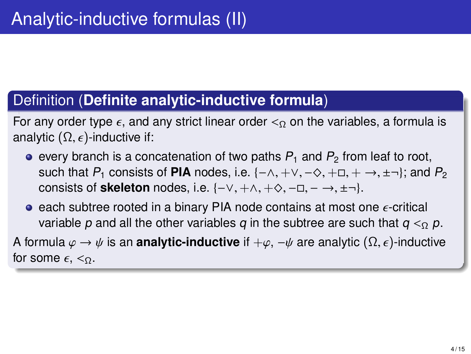#### Definition (**Definite analytic-inductive formula**)

For any order type  $\epsilon$ , and any strict linear order  $\epsilon_0$  on the variables, a formula is analytic  $(\Omega, \epsilon)$ -inductive if:

- $\bullet$  every branch is a concatenation of two paths  $P_1$  and  $P_2$  from leaf to root, such that P<sub>1</sub> consists of **PIA** nodes, i.e.  $\{-\wedge, +\vee, -\Diamond, +\Box, +\rightarrow, \pm\neg\}$ ; and P<sub>2</sub> consists of **skeleton** nodes, i.e.  $\{-\vee, +\wedge, +\Diamond, -\Box, -\rightarrow, \pm-\}$ .
- e each subtree rooted in a binary PIA node contains at most one  $\epsilon$ -critical variable p and all the other variables q in the subtree are such that  $q \leq_{\Omega} p$ .

A formula  $\varphi \to \psi$  is an **analytic-inductive** if  $+\varphi$ ,  $-\psi$  are analytic ( $\Omega$ ,  $\epsilon$ )-inductive for some  $\epsilon, \leq_{\Omega}$ .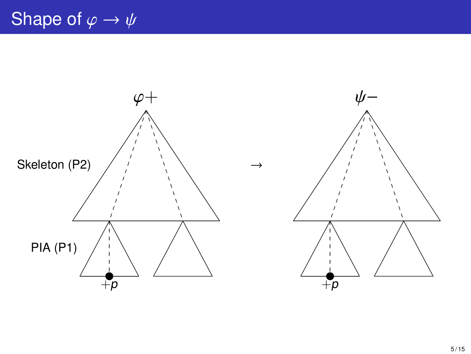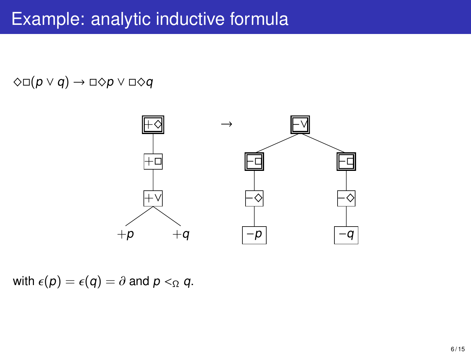## Example: analytic inductive formula

#### $\Diamond \Box(p \lor q) \rightarrow \Box \Diamond p \lor \Box \Diamond q$



with  $\epsilon(p) = \epsilon(q) = \partial$  and  $p <_{\Omega} q$ .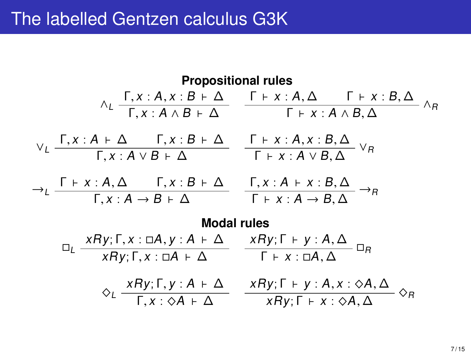## The labelled Gentzen calculus G3K

**Propositional rules**  
\n
$$
\wedge_{L} \frac{\Gamma, x:A, x:B \vdash \Delta}{\Gamma, x:A \wedge B \vdash \Delta} \frac{\Gamma \vdash x:A, \Delta \quad \Gamma \vdash x:B, \Delta}{\Gamma \vdash x:A \wedge B, \Delta} \wedge_{R}
$$
\n
$$
\vee_{L} \frac{\Gamma, x:A \vdash \Delta \quad \Gamma, x:B \vdash \Delta}{\Gamma, x:A \vee B \vdash \Delta} \frac{\Gamma \vdash x:A, x:B, \Delta}{\Gamma \vdash x:A \vee B, \Delta} \vee_{R}
$$
\n
$$
\rightarrow_{L} \frac{\Gamma \vdash x:A, \Delta \quad \Gamma, x:B \vdash \Delta}{\Gamma, x:A \rightarrow B \vdash \Delta} \frac{\Gamma, x:A \vdash x:B, \Delta}{\Gamma \vdash x:A \rightarrow B, \Delta} \rightarrow_{R}
$$
\n**Modal rules**  
\n
$$
\Box_{L} \frac{xRy; \Gamma, x:A \vdash \Delta}{xRy; \Gamma, x:A \vdash \Delta} \frac{xRy; \Gamma \vdash y:A, \Delta}{\Gamma \vdash x:A, \Delta} \Box_{R}
$$
\n
$$
\Diamond_{L} \frac{xRy; \Gamma, y:A \vdash \Delta}{\Gamma, x:A \vdash \Delta} \frac{xRy; \Gamma \vdash y:A, x:A, \Delta}{xRy; \Gamma \vdash x:A, \Delta} \Diamond_{R}
$$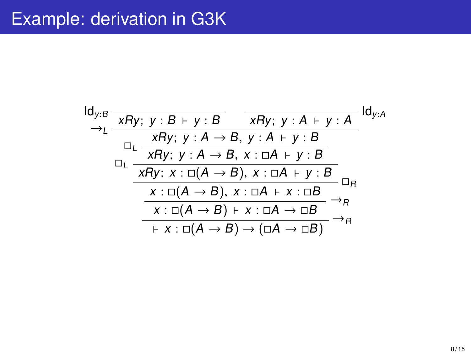## Example: derivation in G3K

$$
\frac{Id_{y:B}}{\rightarrow_L} \frac{\overline{xRy; y:B + y:B}}{\frac{XRy; y:A \rightarrow B, y:A + y:A}{\overline{xRy; y:A + y:B}}} \frac{Id_{y:A}}{\rightarrow_L} \frac{Id_{y:A}}{\overline{xRy; y:A \rightarrow B, x:B \rightarrow B}} \frac{Id_{y:A}}{\overline{xRy; x:B \rightarrow B, x:B \rightarrow B}} \frac{Id_{y:A}}{\overline{xBy; x:B \rightarrow A \rightarrow B, x:B \rightarrow B}} \frac{Id_{y:A}}{\overline{x:B(A \rightarrow B), x:B \rightarrow B}} \frac{Id_{y:A}}{\rightarrow_B} \frac{Id_{y:A}}{\rightarrow_B} \frac{Id_{y:A}}{\rightarrow_B} \frac{Id_{y:A}}{\rightarrow_B} \frac{Id_{y:A}}{\rightarrow_B} \frac{Id_{y:A}}{\rightarrow_B} \frac{Id_{y:A}}{\rightarrow_B} \frac{Id_{y:A}}{\rightarrow_B} \frac{Id_{y:A}}{\rightarrow_B} \frac{Id_{y:A}}{\rightarrow_B} \frac{Id_{y:A}}{\rightarrow_B} \frac{Id_{y:A}}{\rightarrow_B} \frac{Id_{y:A}}{\rightarrow_B} \frac{Id_{y:A}}{\rightarrow_B} \frac{Id_{y:A}}{\rightarrow_B} \frac{Id_{y:A}}{\rightarrow_B} \frac{Id_{y:A}}{\rightarrow_B} \frac{Id_{y:A}}{\rightarrow_B} \frac{Id_{y:A}}{\rightarrow_B} \frac{Id_{y:A}}{\rightarrow_B} \frac{Id_{y:A}}{\rightarrow_B} \frac{Id_{y:A}}{\rightarrow_B} \frac{Id_{y:A}}{\rightarrow_B} \frac{Id_{y:A}}{\rightarrow_B} \frac{Id_{y:A}}{\rightarrow_B} \frac{Id_{y:A}}{\rightarrow_B} \frac{Id_{y:A}}{\rightarrow_B} \frac{Id_{y:A}}{\rightarrow_B} \frac{Id_{y:A}}{\rightarrow_B} \frac{Id_{y:A}}{\rightarrow_B} \frac{Id_{y:A}}{\rightarrow_B} \frac{Id_{y:A}}{\rightarrow_B} \frac{Id_{y:A}}{\rightarrow_B} \frac{Id_{y:A}}{\rightarrow_B} \frac{Id_{y:A}}{\rightarrow_B} \frac{Id_{y:A}}{\rightarrow_B} \frac{Id_{y:A}}{\rightarrow_B} \frac{Id_{y:A}}{\rightarrow_B} \frac{Id_{y:A}}{\rightarrow_B} \frac{Id_{y:A}}{\rightarrow_B} \frac{Id_{y:A}}{\rightarrow_B} \frac{Id_{y:A}}{\rightarrow_B} \frac{Id_{y:A}}{\rightarrow_B} \frac{Id_{y:A}}{\rightarrow_B} \frac{Id_{y:A}}{\rightarrow_B} \frac{Id_{y:A}}{\rightarrow_B} \frac{Id_{y:A}}{\rightarrow_B} \frac{Id_{y:A}}{\rightarrow_B} \frac{Id
$$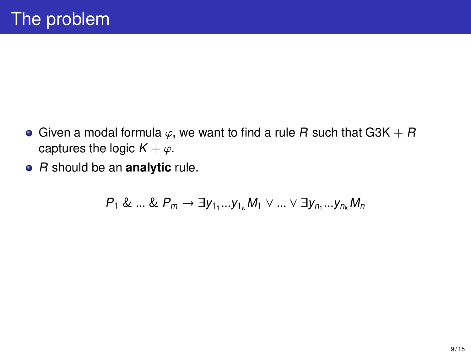- Given a modal formula  $\varphi$ , we want to find a rule R such that G3K + R captures the logic  $K + \varphi$ .
- R should be an **analytic** rule.

$$
P_1 \& \dots \& P_m \rightarrow \exists y_{1_1}...y_{1_k} M_1 \vee \dots \vee \exists y_{n_1}...y_{n_k} M_n
$$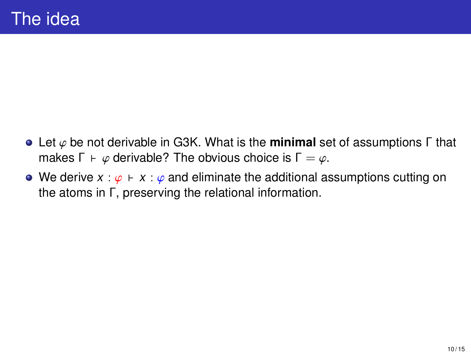- Let φ be not derivable in G3K. What is the **minimal** set of assumptions <sup>Γ</sup> that makes  $\Gamma \vdash \varphi$  derivable? The obvious choice is  $\Gamma = \varphi$ .
- We derive  $x : \varphi \vdash x : \varphi$  and eliminate the additional assumptions cutting on the atoms in Γ, preserving the relational information.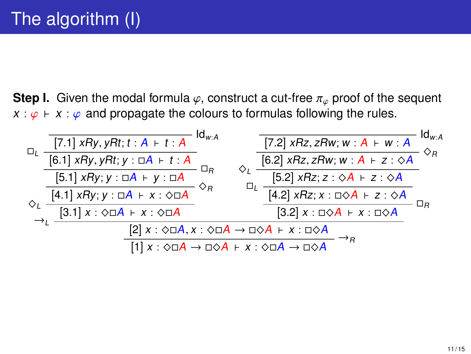**Step I.** Given the modal formula  $\varphi$ , construct a cut-free  $\pi_{\varphi}$  proof of the sequent  $x : \varphi \vdash x : \varphi$  and propagate the colours to formulas following the rules.

|                                                                                                         | [7.1] $xRy, yRt; t:A + t:A$                                                                                                                                                                      | $\mathsf{Id}_{w:A}$ |  | [7.2] $xRz, zRw; w: A + w: A$                          | $\mathsf{Id}_{w:A}$ |
|---------------------------------------------------------------------------------------------------------|--------------------------------------------------------------------------------------------------------------------------------------------------------------------------------------------------|---------------------|--|--------------------------------------------------------|---------------------|
|                                                                                                         | $\frac{[6.1] \; xRy, yRt; y : \Box A + t : A}{[5.1] \; xRy; y : \Box A + y : \Box A}$<br>$\frac{[4.1] \; xRy; y : \Box A + x : \Diamond \Box A}{[4.1] \; xRy; y : \Box A + x : \Diamond \Box A}$ |                     |  | [6.2] $xRz, zRw$ ; $w : A \vdash z : \diamond A$       |                     |
|                                                                                                         |                                                                                                                                                                                                  |                     |  | [5.2] $xRz; z : \Diamond A + z : \Diamond A$           |                     |
|                                                                                                         |                                                                                                                                                                                                  |                     |  | $[4.2]$ xRz; $x : \square \Diamond A + z : \Diamond A$ |                     |
|                                                                                                         | $[3.1]$ $x : \overline{\Diamond \Box A + x : \Diamond \Box A}$                                                                                                                                   |                     |  | $[3.2]$ x : $\Box \Diamond A$ + x : $\Box \Diamond A$  |                     |
|                                                                                                         | $[2]$ $x : \Diamond \Box A, x : \Diamond \Box A \rightarrow \Box \Diamond A + x : \Box \Diamond A$                                                                                               |                     |  |                                                        |                     |
| $[1] x : \Diamond \Box A \rightarrow \Box \Diamond A + x : \Diamond \Box A \rightarrow \Box \Diamond A$ |                                                                                                                                                                                                  |                     |  |                                                        |                     |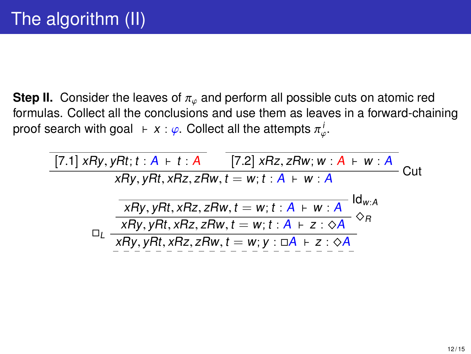**Step II.** Consider the leaves of  $\pi_{\varnothing}$  and perform all possible cuts on atomic red formulas. Collect all the conclusions and use them as leaves in a forward-chaining proof search with goal  $\;\vdash x:\varphi.$  Collect all the attempts  $\pi^i_\varphi.$ 

 $[7.1]$  xRy, yRt;  $t : A + t : A$  [7.2] xRz, zRw; w :  $A + w : A$  $\overline{X}$ <br> $X$ Ry, vRt, xRz, zRw, t = w; t : A ⊢ w : A  $R_y, yRt, xRz, zRw, t = w; t : A + w : A$ <br>□L  $\frac{xRy, yRt, xRz, zRw, t = w; t : A + z : ∞A}{xRy, yRt, xRz, zRw, t = w; y : ∎A + z : ∘A}$ 

φ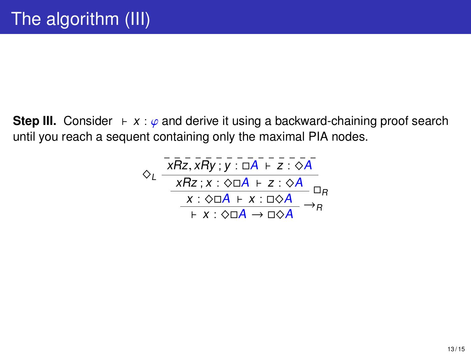**Step III.** Consider  $\vdash x : \varphi$  and derive it using a backward-chaining proof search until you reach a sequent containing only the maximal PIA nodes.

$$
\diamond_L \frac{\overline{XRz}, \overline{xRy}; y : \overline{uA} + \overline{z} : \overline{\diamond A}}{\underline{XRz}; x : \diamond \overline{uA} + \overline{z} : \diamond A}_{\overline{X} : \diamond \overline{uA} + \overline{x} : \overline{u\diamond A}}}_{\overline{X} : \diamond \overline{uA} + \overline{x} : \overline{u\diamond A}} \square_R
$$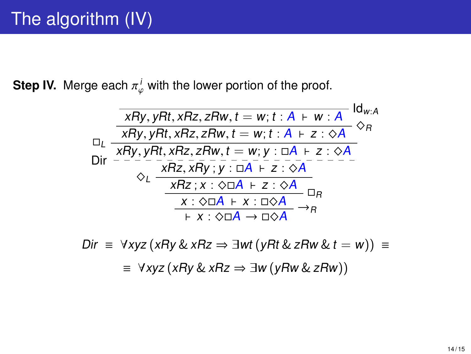**Step IV.** Merge each  $\pi^i_\varphi$  with the lower portion of the proof.

$$
\frac{xRy, yRt, xRz, zRw, t = w; t : A + w : A \mid d_{w:A}
$$
\n
$$
\Box_L \frac{xRy, yRt, xRz, zRw, t = w; t : A + z : \diamond A}{xRy, yRt, xRz, zRw, t = w; y : \Box A + z : \diamond A}
$$
\n
$$
\text{Dir} \quad \frac{xRz, xRy; y : \Box A + z : \diamond A}{xRz, xRy; y : \Box A + z : \diamond A} \quad \frac{Rz; x : \diamond \Box A + z : \diamond A}{\bot Rz; x : \diamond \Box A + z : \triangle A} \quad \Box_R
$$
\n
$$
+ x : \diamond \Box A \rightarrow \Box \diamond A
$$

Dir  $\equiv \forall xyz (xRy \& xRz \Rightarrow \exists wt (yRt \& zRw \& t = w)) \equiv$ ≡ ∀xyz (xRy & xRz ⇒ ∃w (yRw & zRw))